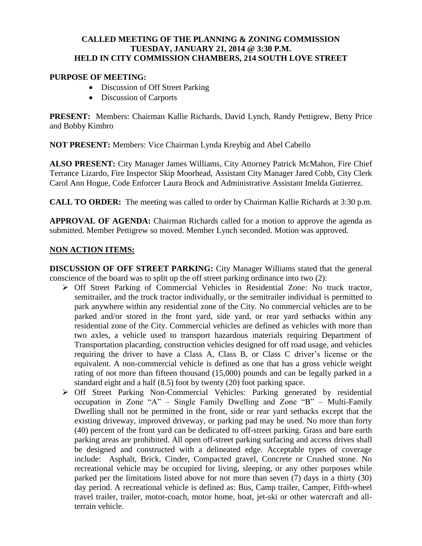### **CALLED MEETING OF THE PLANNING & ZONING COMMISSION TUESDAY, JANUARY 21, 2014 @ 3:30 P.M. HELD IN CITY COMMISSION CHAMBERS, 214 SOUTH LOVE STREET**

## **PURPOSE OF MEETING:**

- Discussion of Off Street Parking
- Discussion of Carports

**PRESENT:** Members: Chairman Kallie Richards, David Lynch, Randy Pettigrew, Betty Price and Bobby Kimbro

**NOT PRESENT:** Members: Vice Chairman Lynda Kreybig and Abel Cabello

**ALSO PRESENT:** City Manager James Williams, City Attorney Patrick McMahon, Fire Chief Terrance Lizardo, Fire Inspector Skip Moorhead, Assistant City Manager Jared Cobb, City Clerk Carol Ann Hogue, Code Enforcer Laura Brock and Administrative Assistant Imelda Gutierrez.

**CALL TO ORDER:** The meeting was called to order by Chairman Kallie Richards at 3:30 p.m.

**APPROVAL OF AGENDA:** Chairman Richards called for a motion to approve the agenda as submitted. Member Pettigrew so moved. Member Lynch seconded. Motion was approved.

### **NON ACTION ITEMS:**

**DISCUSSION OF OFF STREET PARKING:** City Manager Williams stated that the general conscience of the board was to split up the off street parking ordinance into two (2):

- Off Street Parking of Commercial Vehicles in Residential Zone: No truck tractor, semitrailer, and the truck tractor individually, or the semitrailer individual is permitted to park anywhere within any residential zone of the City. No commercial vehicles are to be parked and/or stored in the front yard, side yard, or rear yard setbacks within any residential zone of the City. Commercial vehicles are defined as vehicles with more than two axles, a vehicle used to transport hazardous materials requiring Department of Transportation placarding, construction vehicles designed for off road usage, and vehicles requiring the driver to have a Class A, Class B, or Class C driver's license or the equivalent. A non-commercial vehicle is defined as one that has a gross vehicle weight rating of not more than fifteen thousand (15,000) pounds and can be legally parked in a standard eight and a half (8.5) foot by twenty (20) foot parking space.
- Off Street Parking Non-Commercial Vehicles: Parking generated by residential occupation in Zone "A" – Single Family Dwelling and Zone "B" – Multi-Family Dwelling shall not be permitted in the front, side or rear yard setbacks except that the existing driveway, improved driveway, or parking pad may be used. No more than forty (40) percent of the front yard can be dedicated to off-street parking. Grass and bare earth parking areas are prohibited. All open off-street parking surfacing and access drives shall be designed and constructed with a delineated edge. Acceptable types of coverage include: Asphalt, Brick, Cinder, Compacted gravel, Concrete or Crushed stone. No recreational vehicle may be occupied for living, sleeping, or any other purposes while parked per the limitations listed above for not more than seven (7) days in a thirty (30) day period. A recreational vehicle is defined as: Bus, Camp trailer, Camper, Fifth-wheel travel trailer, trailer, motor-coach, motor home, boat, jet-ski or other watercraft and allterrain vehicle.